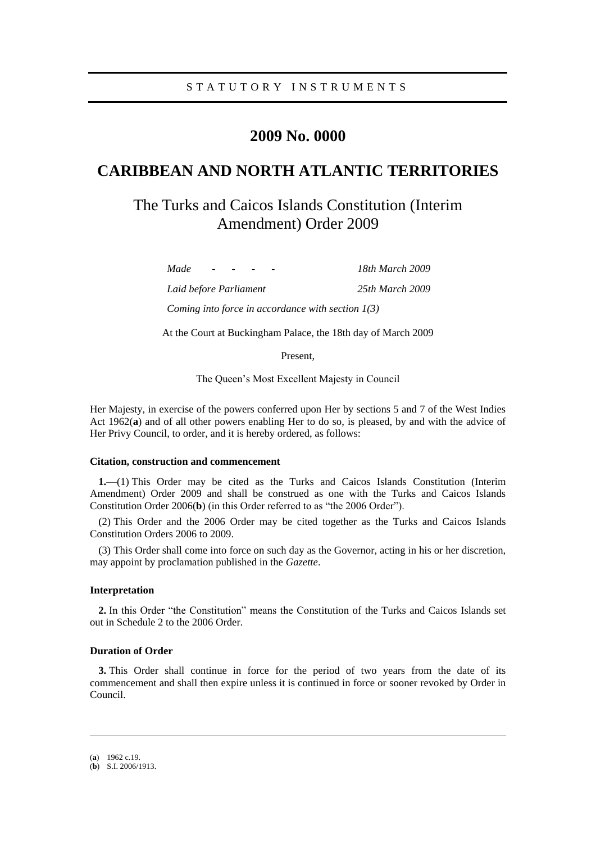## **2009 No. 0000**

# **CARIBBEAN AND NORTH ATLANTIC TERRITORIES**

# The Turks and Caicos Islands Constitution (Interim Amendment) Order 2009

*Made - - - - 18th March 2009*

*Laid before Parliament 25th March 2009*

*Coming into force in accordance with section 1(3)*

At the Court at Buckingham Palace, the 18th day of March 2009

Present,

The Queen's Most Excellent Majesty in Council

Her Majesty, in exercise of the powers conferred upon Her by sections 5 and 7 of the West Indies Act 1962(**a**) and of all other powers enabling Her to do so, is pleased, by and with the advice of Her Privy Council, to order, and it is hereby ordered, as follows:

## **Citation, construction and commencement**

**1.**—(1) This Order may be cited as the Turks and Caicos Islands Constitution (Interim Amendment) Order 2009 and shall be construed as one with the Turks and Caicos Islands Constitution Order 2006(**b**) (in this Order referred to as "the 2006 Order").

(2) This Order and the 2006 Order may be cited together as the Turks and Caicos Islands Constitution Orders 2006 to 2009.

(3) This Order shall come into force on such day as the Governor, acting in his or her discretion, may appoint by proclamation published in the *Gazette*.

## **Interpretation**

**2.** In this Order "the Constitution" means the Constitution of the Turks and Caicos Islands set out in Schedule 2 to the 2006 Order.

## **Duration of Order**

**3.** This Order shall continue in force for the period of two years from the date of its commencement and shall then expire unless it is continued in force or sooner revoked by Order in Council.

-

<sup>(</sup>**a**) 1962 c.19.

<sup>(</sup>**b**) S.I. 2006/1913.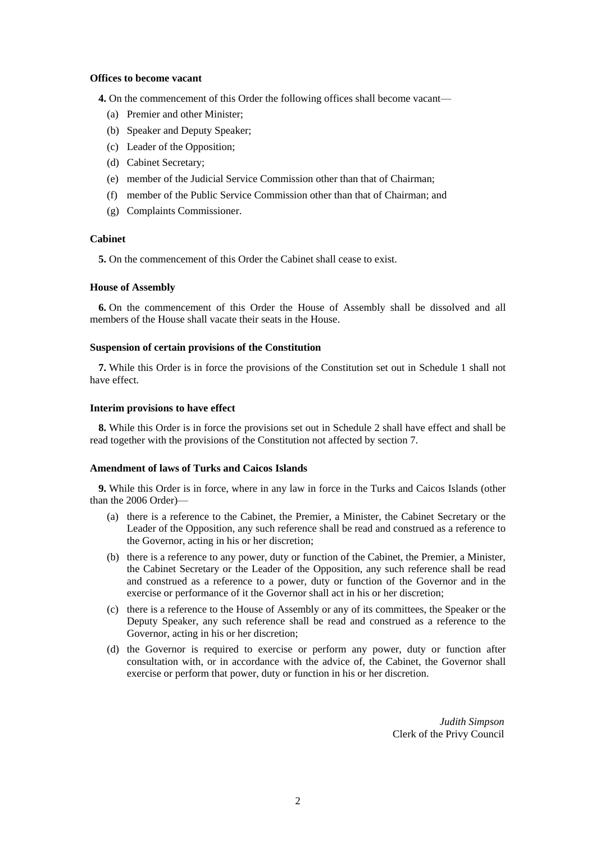### **Offices to become vacant**

**4.** On the commencement of this Order the following offices shall become vacant—

- (a) Premier and other Minister;
- (b) Speaker and Deputy Speaker;
- (c) Leader of the Opposition;
- (d) Cabinet Secretary;
- (e) member of the Judicial Service Commission other than that of Chairman;
- (f) member of the Public Service Commission other than that of Chairman; and
- (g) Complaints Commissioner.

## **Cabinet**

**5.** On the commencement of this Order the Cabinet shall cease to exist.

## **House of Assembly**

**6.** On the commencement of this Order the House of Assembly shall be dissolved and all members of the House shall vacate their seats in the House.

### **Suspension of certain provisions of the Constitution**

**7.** While this Order is in force the provisions of the Constitution set out in Schedule 1 shall not have effect.

#### **Interim provisions to have effect**

**8.** While this Order is in force the provisions set out in Schedule 2 shall have effect and shall be read together with the provisions of the Constitution not affected by section 7.

#### **Amendment of laws of Turks and Caicos Islands**

**9.** While this Order is in force, where in any law in force in the Turks and Caicos Islands (other than the 2006 Order)—

- (a) there is a reference to the Cabinet, the Premier, a Minister, the Cabinet Secretary or the Leader of the Opposition, any such reference shall be read and construed as a reference to the Governor, acting in his or her discretion;
- (b) there is a reference to any power, duty or function of the Cabinet, the Premier, a Minister, the Cabinet Secretary or the Leader of the Opposition, any such reference shall be read and construed as a reference to a power, duty or function of the Governor and in the exercise or performance of it the Governor shall act in his or her discretion;
- (c) there is a reference to the House of Assembly or any of its committees, the Speaker or the Deputy Speaker, any such reference shall be read and construed as a reference to the Governor, acting in his or her discretion;
- (d) the Governor is required to exercise or perform any power, duty or function after consultation with, or in accordance with the advice of, the Cabinet, the Governor shall exercise or perform that power, duty or function in his or her discretion.

*Judith Simpson* Clerk of the Privy Council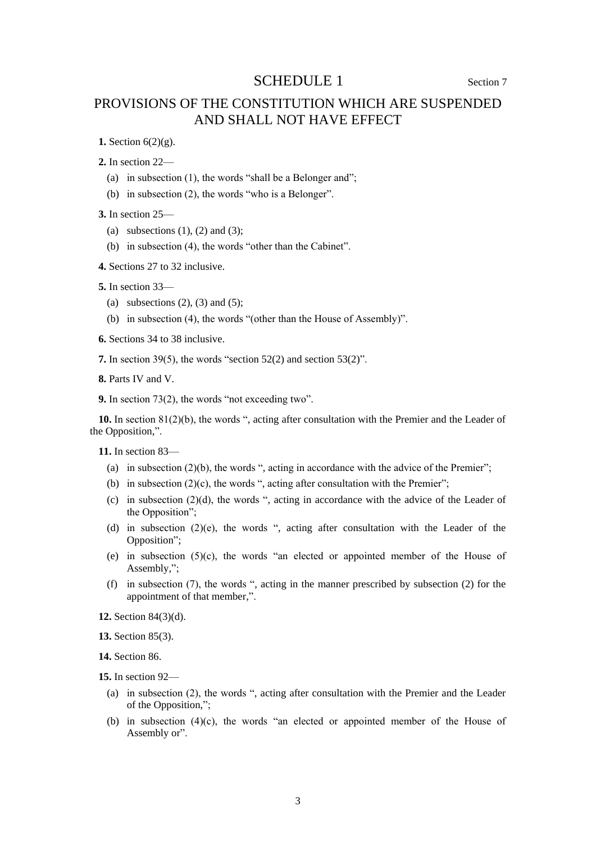## SCHEDULE 1 Section 7

## PROVISIONS OF THE CONSTITUTION WHICH ARE SUSPENDED AND SHALL NOT HAVE EFFECT

**1.** Section 6(2)(g).

**2.** In section 22—

- (a) in subsection (1), the words "shall be a Belonger and";
- (b) in subsection (2), the words "who is a Belonger".

**3.** In section 25—

- (a) subsections  $(1)$ ,  $(2)$  and  $(3)$ ;
- (b) in subsection (4), the words "other than the Cabinet".

**4.** Sections 27 to 32 inclusive.

**5.** In section 33—

- (a) subsections  $(2)$ ,  $(3)$  and  $(5)$ ;
- (b) in subsection (4), the words "(other than the House of Assembly)".

**6.** Sections 34 to 38 inclusive.

**7.** In section 39(5), the words "section 52(2) and section 53(2)".

**8.** Parts IV and V.

**9.** In section 73(2), the words "not exceeding two".

**10.** In section 81(2)(b), the words ", acting after consultation with the Premier and the Leader of the Opposition,".

**11.** In section 83—

- (a) in subsection  $(2)(b)$ , the words ", acting in accordance with the advice of the Premier";
- (b) in subsection  $(2)(c)$ , the words ", acting after consultation with the Premier";
- (c) in subsection (2)(d), the words ", acting in accordance with the advice of the Leader of the Opposition";
- (d) in subsection (2)(e), the words ", acting after consultation with the Leader of the Opposition";
- (e) in subsection (5)(c), the words "an elected or appointed member of the House of Assembly,";
- (f) in subsection (7), the words ", acting in the manner prescribed by subsection (2) for the appointment of that member,".

**12.** Section 84(3)(d).

**13.** Section 85(3).

**14.** Section 86.

**15.** In section 92—

- (a) in subsection (2), the words ", acting after consultation with the Premier and the Leader of the Opposition,";
- (b) in subsection (4)(c), the words "an elected or appointed member of the House of Assembly or".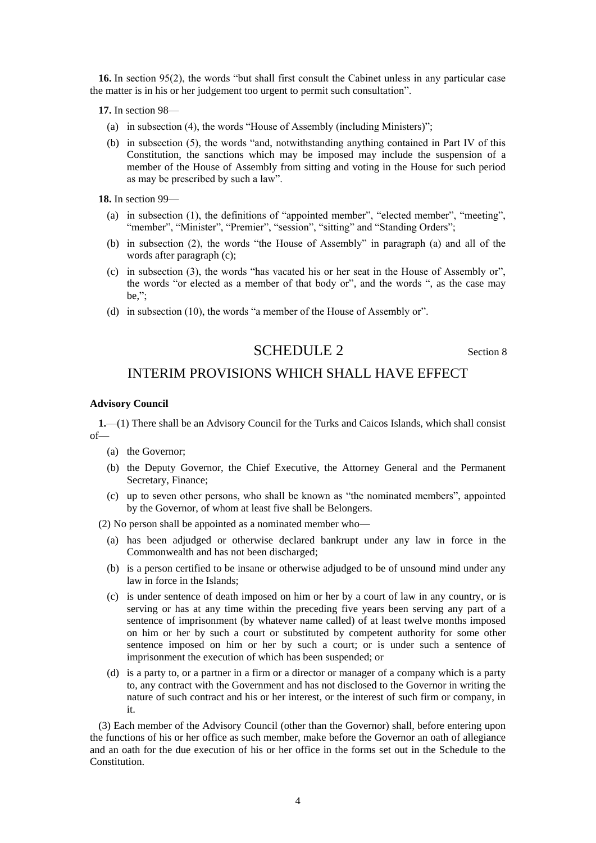**16.** In section 95(2), the words "but shall first consult the Cabinet unless in any particular case the matter is in his or her judgement too urgent to permit such consultation".

**17.** In section 98—

- (a) in subsection (4), the words "House of Assembly (including Ministers)";
- (b) in subsection (5), the words "and, notwithstanding anything contained in Part IV of this Constitution, the sanctions which may be imposed may include the suspension of a member of the House of Assembly from sitting and voting in the House for such period as may be prescribed by such a law".

**18.** In section 99—

- (a) in subsection (1), the definitions of "appointed member", "elected member", "meeting", "member", "Minister", "Premier", "session", "sitting" and "Standing Orders";
- (b) in subsection (2), the words "the House of Assembly" in paragraph (a) and all of the words after paragraph (c);
- (c) in subsection (3), the words "has vacated his or her seat in the House of Assembly or", the words "or elected as a member of that body or", and the words ", as the case may be,";
- (d) in subsection (10), the words "a member of the House of Assembly or".

## SCHEDULE 2 Section 8

## INTERIM PROVISIONS WHICH SHALL HAVE EFFECT

## **Advisory Council**

**1.**—(1) There shall be an Advisory Council for the Turks and Caicos Islands, which shall consist of—

- (a) the Governor;
- (b) the Deputy Governor, the Chief Executive, the Attorney General and the Permanent Secretary, Finance;
- (c) up to seven other persons, who shall be known as "the nominated members", appointed by the Governor, of whom at least five shall be Belongers.

(2) No person shall be appointed as a nominated member who—

- (a) has been adjudged or otherwise declared bankrupt under any law in force in the Commonwealth and has not been discharged;
- (b) is a person certified to be insane or otherwise adjudged to be of unsound mind under any law in force in the Islands;
- (c) is under sentence of death imposed on him or her by a court of law in any country, or is serving or has at any time within the preceding five years been serving any part of a sentence of imprisonment (by whatever name called) of at least twelve months imposed on him or her by such a court or substituted by competent authority for some other sentence imposed on him or her by such a court; or is under such a sentence of imprisonment the execution of which has been suspended; or
- (d) is a party to, or a partner in a firm or a director or manager of a company which is a party to, any contract with the Government and has not disclosed to the Governor in writing the nature of such contract and his or her interest, or the interest of such firm or company, in it.

(3) Each member of the Advisory Council (other than the Governor) shall, before entering upon the functions of his or her office as such member, make before the Governor an oath of allegiance and an oath for the due execution of his or her office in the forms set out in the Schedule to the Constitution.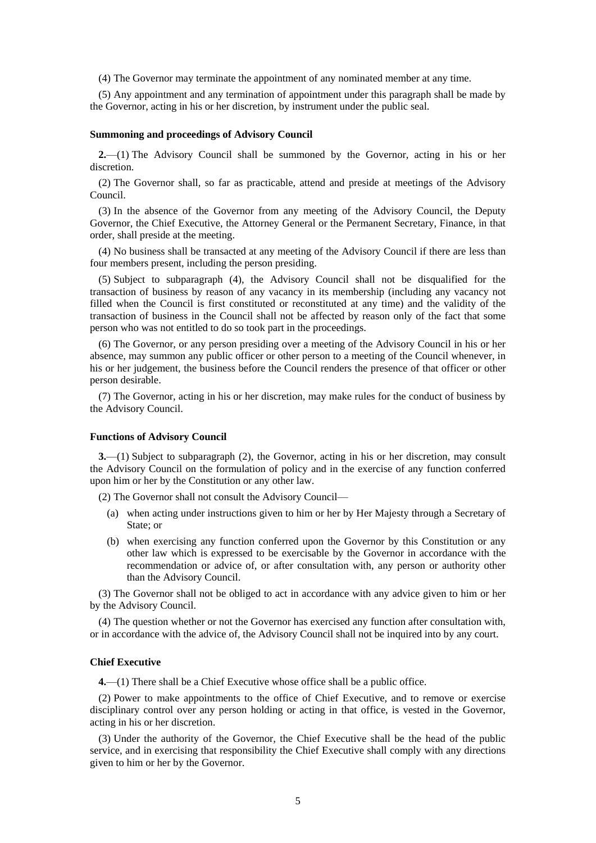(4) The Governor may terminate the appointment of any nominated member at any time.

(5) Any appointment and any termination of appointment under this paragraph shall be made by the Governor, acting in his or her discretion, by instrument under the public seal.

#### **Summoning and proceedings of Advisory Council**

**2.**—(1) The Advisory Council shall be summoned by the Governor, acting in his or her discretion.

(2) The Governor shall, so far as practicable, attend and preside at meetings of the Advisory Council.

(3) In the absence of the Governor from any meeting of the Advisory Council, the Deputy Governor, the Chief Executive, the Attorney General or the Permanent Secretary, Finance, in that order, shall preside at the meeting.

(4) No business shall be transacted at any meeting of the Advisory Council if there are less than four members present, including the person presiding.

(5) Subject to subparagraph (4), the Advisory Council shall not be disqualified for the transaction of business by reason of any vacancy in its membership (including any vacancy not filled when the Council is first constituted or reconstituted at any time) and the validity of the transaction of business in the Council shall not be affected by reason only of the fact that some person who was not entitled to do so took part in the proceedings.

(6) The Governor, or any person presiding over a meeting of the Advisory Council in his or her absence, may summon any public officer or other person to a meeting of the Council whenever, in his or her judgement, the business before the Council renders the presence of that officer or other person desirable.

(7) The Governor, acting in his or her discretion, may make rules for the conduct of business by the Advisory Council.

## **Functions of Advisory Council**

**3.**—(1) Subject to subparagraph (2), the Governor, acting in his or her discretion, may consult the Advisory Council on the formulation of policy and in the exercise of any function conferred upon him or her by the Constitution or any other law.

(2) The Governor shall not consult the Advisory Council—

- (a) when acting under instructions given to him or her by Her Majesty through a Secretary of State; or
- (b) when exercising any function conferred upon the Governor by this Constitution or any other law which is expressed to be exercisable by the Governor in accordance with the recommendation or advice of, or after consultation with, any person or authority other than the Advisory Council.

(3) The Governor shall not be obliged to act in accordance with any advice given to him or her by the Advisory Council.

(4) The question whether or not the Governor has exercised any function after consultation with, or in accordance with the advice of, the Advisory Council shall not be inquired into by any court.

## **Chief Executive**

**4.**—(1) There shall be a Chief Executive whose office shall be a public office.

(2) Power to make appointments to the office of Chief Executive, and to remove or exercise disciplinary control over any person holding or acting in that office, is vested in the Governor, acting in his or her discretion.

(3) Under the authority of the Governor, the Chief Executive shall be the head of the public service, and in exercising that responsibility the Chief Executive shall comply with any directions given to him or her by the Governor.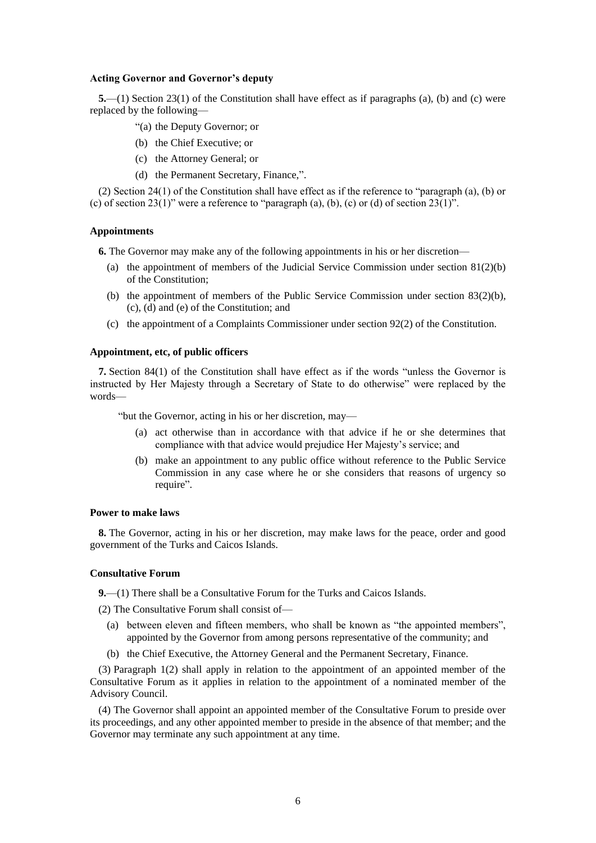#### **Acting Governor and Governor's deputy**

**5.**—(1) Section 23(1) of the Constitution shall have effect as if paragraphs (a), (b) and (c) were replaced by the following—

- "(a) the Deputy Governor; or
- (b) the Chief Executive; or
- (c) the Attorney General; or
- (d) the Permanent Secretary, Finance,".

(2) Section 24(1) of the Constitution shall have effect as if the reference to "paragraph (a), (b) or (c) of section 23(1)" were a reference to "paragraph (a), (b), (c) or (d) of section  $23(1)$ ".

#### **Appointments**

**6.** The Governor may make any of the following appointments in his or her discretion—

- (a) the appointment of members of the Judicial Service Commission under section 81(2)(b) of the Constitution;
- (b) the appointment of members of the Public Service Commission under section 83(2)(b), (c), (d) and (e) of the Constitution; and
- (c) the appointment of a Complaints Commissioner under section 92(2) of the Constitution.

## **Appointment, etc, of public officers**

**7.** Section 84(1) of the Constitution shall have effect as if the words "unless the Governor is instructed by Her Majesty through a Secretary of State to do otherwise" were replaced by the words—

"but the Governor, acting in his or her discretion, may—

- (a) act otherwise than in accordance with that advice if he or she determines that compliance with that advice would prejudice Her Majesty's service; and
- (b) make an appointment to any public office without reference to the Public Service Commission in any case where he or she considers that reasons of urgency so require".

## **Power to make laws**

**8.** The Governor, acting in his or her discretion, may make laws for the peace, order and good government of the Turks and Caicos Islands.

#### **Consultative Forum**

**9.**—(1) There shall be a Consultative Forum for the Turks and Caicos Islands.

(2) The Consultative Forum shall consist of—

- (a) between eleven and fifteen members, who shall be known as "the appointed members", appointed by the Governor from among persons representative of the community; and
- (b) the Chief Executive, the Attorney General and the Permanent Secretary, Finance.

(3) Paragraph 1(2) shall apply in relation to the appointment of an appointed member of the Consultative Forum as it applies in relation to the appointment of a nominated member of the Advisory Council.

(4) The Governor shall appoint an appointed member of the Consultative Forum to preside over its proceedings, and any other appointed member to preside in the absence of that member; and the Governor may terminate any such appointment at any time.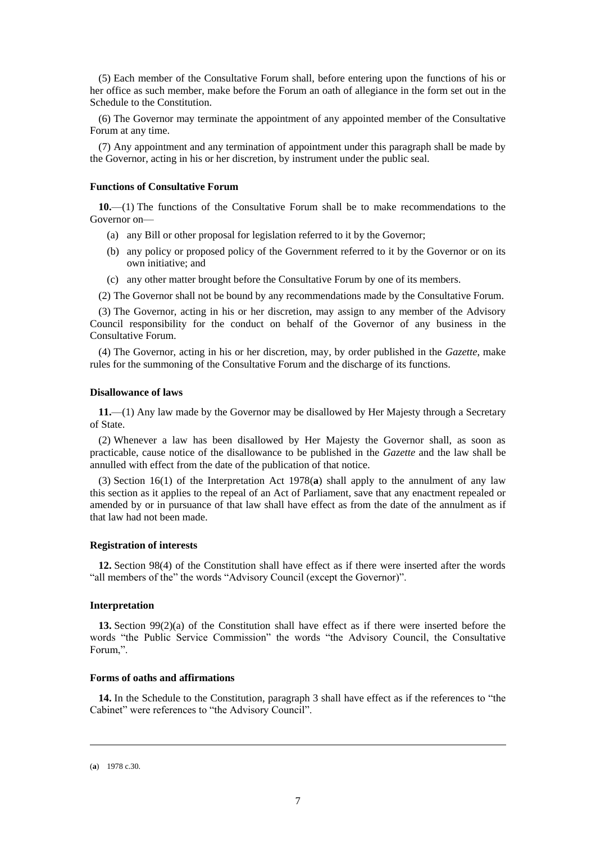(5) Each member of the Consultative Forum shall, before entering upon the functions of his or her office as such member, make before the Forum an oath of allegiance in the form set out in the Schedule to the Constitution.

(6) The Governor may terminate the appointment of any appointed member of the Consultative Forum at any time.

(7) Any appointment and any termination of appointment under this paragraph shall be made by the Governor, acting in his or her discretion, by instrument under the public seal.

### **Functions of Consultative Forum**

**10.**—(1) The functions of the Consultative Forum shall be to make recommendations to the Governor on—

- (a) any Bill or other proposal for legislation referred to it by the Governor;
- (b) any policy or proposed policy of the Government referred to it by the Governor or on its own initiative; and
- (c) any other matter brought before the Consultative Forum by one of its members.
- (2) The Governor shall not be bound by any recommendations made by the Consultative Forum.

(3) The Governor, acting in his or her discretion, may assign to any member of the Advisory Council responsibility for the conduct on behalf of the Governor of any business in the Consultative Forum.

(4) The Governor, acting in his or her discretion, may, by order published in the *Gazette*, make rules for the summoning of the Consultative Forum and the discharge of its functions.

## **Disallowance of laws**

**11.**—(1) Any law made by the Governor may be disallowed by Her Majesty through a Secretary of State.

(2) Whenever a law has been disallowed by Her Majesty the Governor shall, as soon as practicable, cause notice of the disallowance to be published in the *Gazette* and the law shall be annulled with effect from the date of the publication of that notice.

(3) Section 16(1) of the Interpretation Act 1978(**a**) shall apply to the annulment of any law this section as it applies to the repeal of an Act of Parliament, save that any enactment repealed or amended by or in pursuance of that law shall have effect as from the date of the annulment as if that law had not been made.

### **Registration of interests**

**12.** Section 98(4) of the Constitution shall have effect as if there were inserted after the words "all members of the" the words "Advisory Council (except the Governor)".

#### **Interpretation**

**13.** Section 99(2)(a) of the Constitution shall have effect as if there were inserted before the words "the Public Service Commission" the words "the Advisory Council, the Consultative Forum,".

## **Forms of oaths and affirmations**

**14.** In the Schedule to the Constitution, paragraph 3 shall have effect as if the references to "the Cabinet" were references to "the Advisory Council".

-

<sup>(</sup>**a**) 1978 c.30.